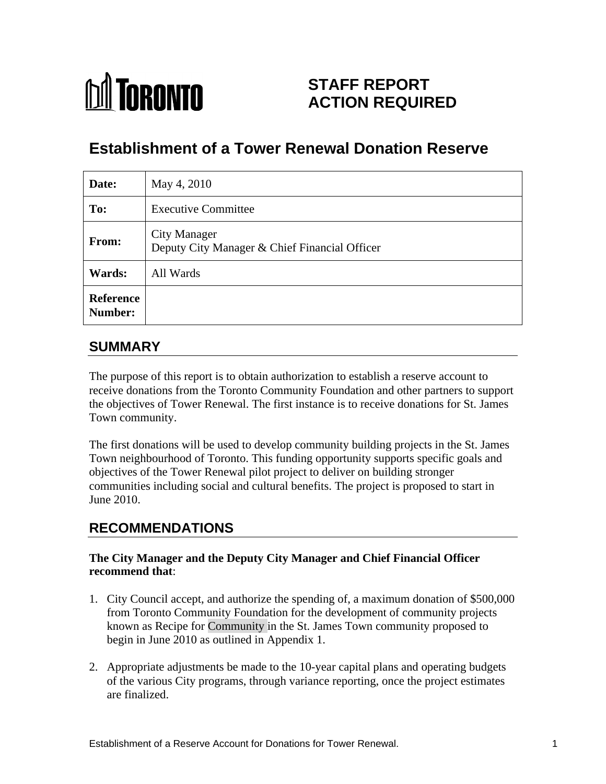# **M** TORONTO

# **STAFF REPORT ACTION REQUIRED**

# **Establishment of a Tower Renewal Donation Reserve**

| Date:                | May 4, 2010                                                          |
|----------------------|----------------------------------------------------------------------|
| To:                  | <b>Executive Committee</b>                                           |
| From:                | <b>City Manager</b><br>Deputy City Manager & Chief Financial Officer |
| <b>Wards:</b>        | All Wards                                                            |
| Reference<br>Number: |                                                                      |

# **SUMMARY**

The purpose of this report is to obtain authorization to establish a reserve account to receive donations from the Toronto Community Foundation and other partners to support the objectives of Tower Renewal. The first instance is to receive donations for St. James Town community.

The first donations will be used to develop community building projects in the St. James Town neighbourhood of Toronto. This funding opportunity supports specific goals and objectives of the Tower Renewal pilot project to deliver on building stronger communities including social and cultural benefits. The project is proposed to start in June 2010.

## **RECOMMENDATIONS**

#### **The City Manager and the Deputy City Manager and Chief Financial Officer recommend that**:

- 1. City Council accept, and authorize the spending of, a maximum donation of \$500,000 from Toronto Community Foundation for the development of community projects known as Recipe for Community in the St. James Town community proposed to begin in June 2010 as outlined in Appendix 1.
- 2. Appropriate adjustments be made to the 10-year capital plans and operating budgets of the various City programs, through variance reporting, once the project estimates are finalized.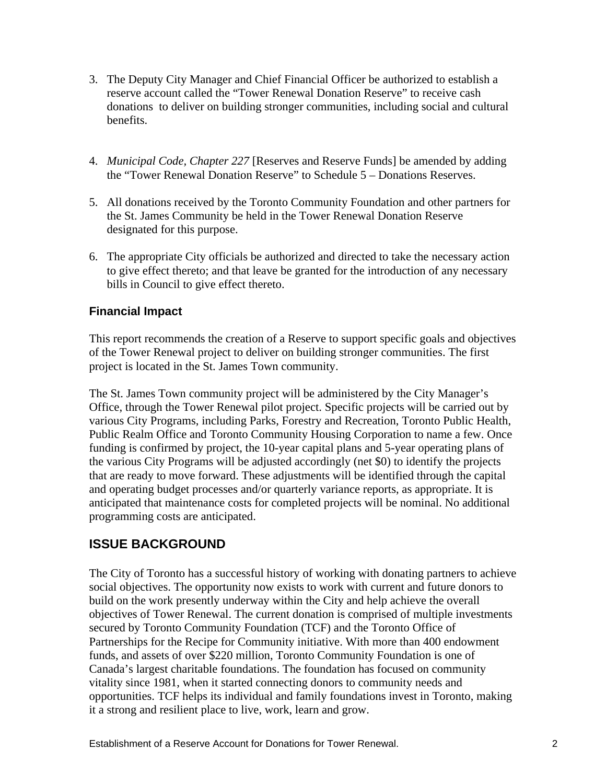- 3. The Deputy City Manager and Chief Financial Officer be authorized to establish a reserve account called the "Tower Renewal Donation Reserve" to receive cash donations to deliver on building stronger communities, including social and cultural benefits.
- 4. *Municipal Code, Chapter 227* [Reserves and Reserve Funds] be amended by adding the "Tower Renewal Donation Reserve" to Schedule 5 – Donations Reserves.
- 5. All donations received by the Toronto Community Foundation and other partners for the St. James Community be held in the Tower Renewal Donation Reserve designated for this purpose.
- 6. The appropriate City officials be authorized and directed to take the necessary action to give effect thereto; and that leave be granted for the introduction of any necessary bills in Council to give effect thereto.

#### **Financial Impact**

This report recommends the creation of a Reserve to support specific goals and objectives of the Tower Renewal project to deliver on building stronger communities. The first project is located in the St. James Town community.

The St. James Town community project will be administered by the City Manager's Office, through the Tower Renewal pilot project. Specific projects will be carried out by various City Programs, including Parks, Forestry and Recreation, Toronto Public Health, Public Realm Office and Toronto Community Housing Corporation to name a few. Once funding is confirmed by project, the 10-year capital plans and 5-year operating plans of the various City Programs will be adjusted accordingly (net \$0) to identify the projects that are ready to move forward. These adjustments will be identified through the capital and operating budget processes and/or quarterly variance reports, as appropriate. It is anticipated that maintenance costs for completed projects will be nominal. No additional programming costs are anticipated.

## **ISSUE BACKGROUND**

The City of Toronto has a successful history of working with donating partners to achieve social objectives. The opportunity now exists to work with current and future donors to build on the work presently underway within the City and help achieve the overall objectives of Tower Renewal. The current donation is comprised of multiple investments secured by Toronto Community Foundation (TCF) and the Toronto Office of Partnerships for the Recipe for Community initiative. With more than 400 endowment funds, and assets of over \$220 million, Toronto Community Foundation is one of Canada's largest charitable foundations. The foundation has focused on community vitality since 1981, when it started connecting donors to community needs and opportunities. TCF helps its individual and family foundations invest in Toronto, making it a strong and resilient place to live, work, learn and grow.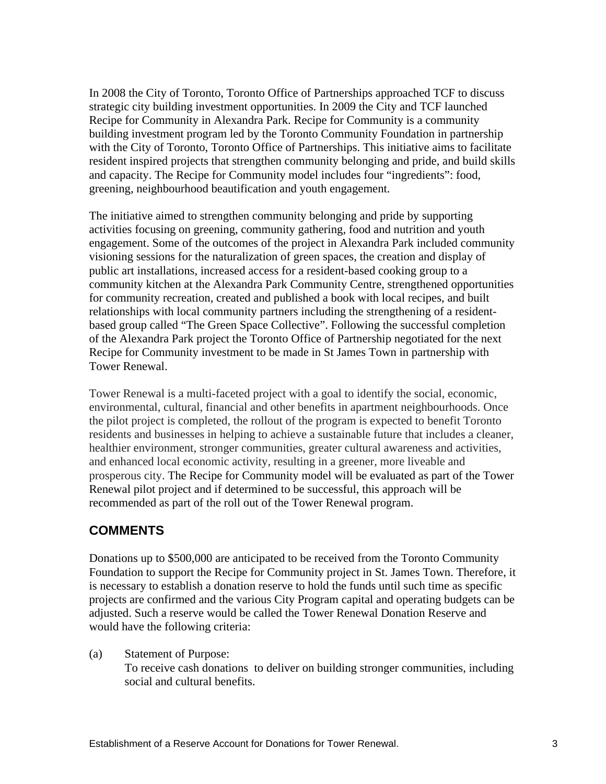In 2008 the City of Toronto, Toronto Office of Partnerships approached TCF to discuss strategic city building investment opportunities. In 2009 the City and TCF launched Recipe for Community in Alexandra Park. Recipe for Community is a community building investment program led by the Toronto Community Foundation in partnership with the City of Toronto, Toronto Office of Partnerships. This initiative aims to facilitate resident inspired projects that strengthen community belonging and pride, and build skills and capacity. The Recipe for Community model includes four "ingredients": food, greening, neighbourhood beautification and youth engagement.

The initiative aimed to strengthen community belonging and pride by supporting activities focusing on greening, community gathering, food and nutrition and youth engagement. Some of the outcomes of the project in Alexandra Park included community visioning sessions for the naturalization of green spaces, the creation and display of public art installations, increased access for a resident-based cooking group to a community kitchen at the Alexandra Park Community Centre, strengthened opportunities for community recreation, created and published a book with local recipes, and built relationships with local community partners including the strengthening of a resident based group called "The Green Space Collective". Following the successful completion of the Alexandra Park project the Toronto Office of Partnership negotiated for the next Recipe for Community investment to be made in St James Town in partnership with Tower Renewal.

Tower Renewal is a multi-faceted project with a goal to identify the social, economic, environmental, cultural, financial and other benefits in apartment neighbourhoods. Once the pilot project is completed, the rollout of the program is expected to benefit Toronto residents and businesses in helping to achieve a sustainable future that includes a cleaner, healthier environment, stronger communities, greater cultural awareness and activities, and enhanced local economic activity, resulting in a greener, more liveable and prosperous city. The Recipe for Community model will be evaluated as part of the Tower Renewal pilot project and if determined to be successful, this approach will be recommended as part of the roll out of the Tower Renewal program.

#### **COMMENTS**

Donations up to \$500,000 are anticipated to be received from the Toronto Community Foundation to support the Recipe for Community project in St. James Town. Therefore, it is necessary to establish a donation reserve to hold the funds until such time as specific projects are confirmed and the various City Program capital and operating budgets can be adjusted. Such a reserve would be called the Tower Renewal Donation Reserve and would have the following criteria:

(a) Statement of Purpose: To receive cash donations to deliver on building stronger communities, including social and cultural benefits.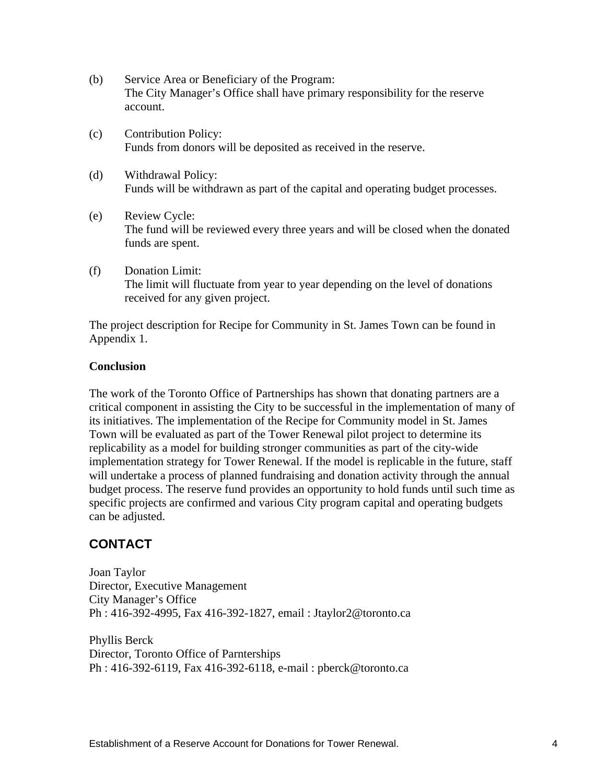- (b) Service Area or Beneficiary of the Program: The City Manager's Office shall have primary responsibility for the reserve account.
- (c) Contribution Policy: Funds from donors will be deposited as received in the reserve.
- (d) Withdrawal Policy: Funds will be withdrawn as part of the capital and operating budget processes.
- (e) Review Cycle: The fund will be reviewed every three years and will be closed when the donated funds are spent.
- (f) Donation Limit: The limit will fluctuate from year to year depending on the level of donations received for any given project.

The project description for Recipe for Community in St. James Town can be found in Appendix 1.

#### **Conclusion**

The work of the Toronto Office of Partnerships has shown that donating partners are a critical component in assisting the City to be successful in the implementation of many of its initiatives. The implementation of the Recipe for Community model in St. James Town will be evaluated as part of the Tower Renewal pilot project to determine its replicability as a model for building stronger communities as part of the city-wide implementation strategy for Tower Renewal. If the model is replicable in the future, staff will undertake a process of planned fundraising and donation activity through the annual budget process. The reserve fund provides an opportunity to hold funds until such time as specific projects are confirmed and various City program capital and operating budgets can be adjusted.

## **CONTACT**

Joan Taylor Director, Executive Management City Manager's Office Ph : 416-392-4995, Fax 416-392-1827, email : Jtaylor2@toronto.ca

Phyllis Berck Director, Toronto Office of Parnterships Ph : 416-392-6119, Fax 416-392-6118, e-mail : pberck@toronto.ca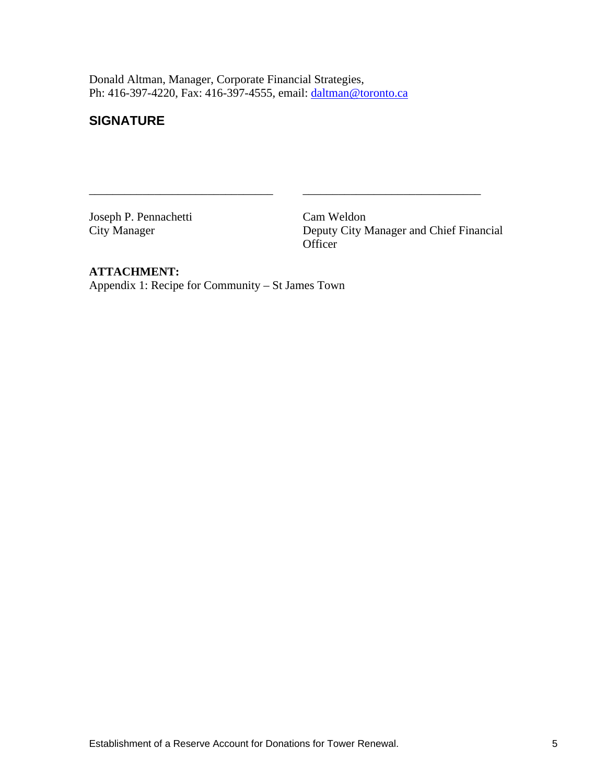Donald Altman, Manager, Corporate Financial Strategies, Ph: 416-397-4220, Fax: 416-397-4555, email: daltman@toronto.ca

#### **SIGNATURE**

Joseph P. Pennachetti Cam Weldon City Manager Deputy City Manager and Chief Financial Officer **Officer** 

#### **ATTACHMENT:**

Appendix 1: Recipe for Community – St James Town

 $\overline{\phantom{a}}$  , and the contribution of the contribution of  $\overline{\phantom{a}}$  , and the contribution of  $\overline{\phantom{a}}$  , and  $\overline{\phantom{a}}$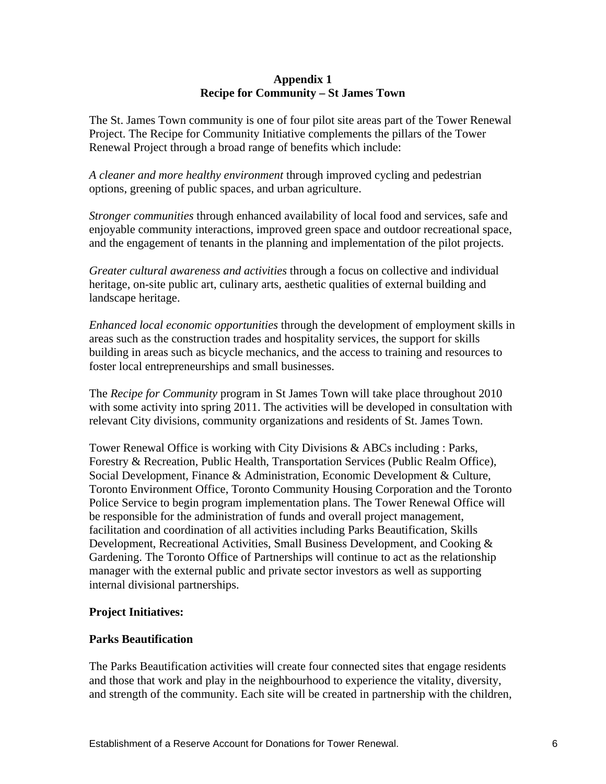#### **Appendix 1 Recipe for Community – St James Town**

The St. James Town community is one of four pilot site areas part of the Tower Renewal Project. The Recipe for Community Initiative complements the pillars of the Tower Renewal Project through a broad range of benefits which include:

*A cleaner and more healthy environment* through improved cycling and pedestrian options, greening of public spaces, and urban agriculture.

*Stronger communities* through enhanced availability of local food and services, safe and enjoyable community interactions, improved green space and outdoor recreational space, and the engagement of tenants in the planning and implementation of the pilot projects.

*Greater cultural awareness and activities* through a focus on collective and individual heritage, on-site public art, culinary arts, aesthetic qualities of external building and landscape heritage.

*Enhanced local economic opportunities* through the development of employment skills in areas such as the construction trades and hospitality services, the support for skills building in areas such as bicycle mechanics, and the access to training and resources to foster local entrepreneurships and small businesses.

The *Recipe for Community* program in St James Town will take place throughout 2010 with some activity into spring 2011. The activities will be developed in consultation with relevant City divisions, community organizations and residents of St. James Town.

Tower Renewal Office is working with City Divisions & ABCs including : Parks, Forestry & Recreation, Public Health, Transportation Services (Public Realm Office), Social Development, Finance & Administration, Economic Development & Culture, Toronto Environment Office, Toronto Community Housing Corporation and the Toronto Police Service to begin program implementation plans. The Tower Renewal Office will be responsible for the administration of funds and overall project management, facilitation and coordination of all activities including Parks Beautification, Skills Development, Recreational Activities, Small Business Development, and Cooking & Gardening. The Toronto Office of Partnerships will continue to act as the relationship manager with the external public and private sector investors as well as supporting internal divisional partnerships.

#### **Project Initiatives:**

#### **Parks Beautification**

The Parks Beautification activities will create four connected sites that engage residents and those that work and play in the neighbourhood to experience the vitality, diversity, and strength of the community. Each site will be created in partnership with the children,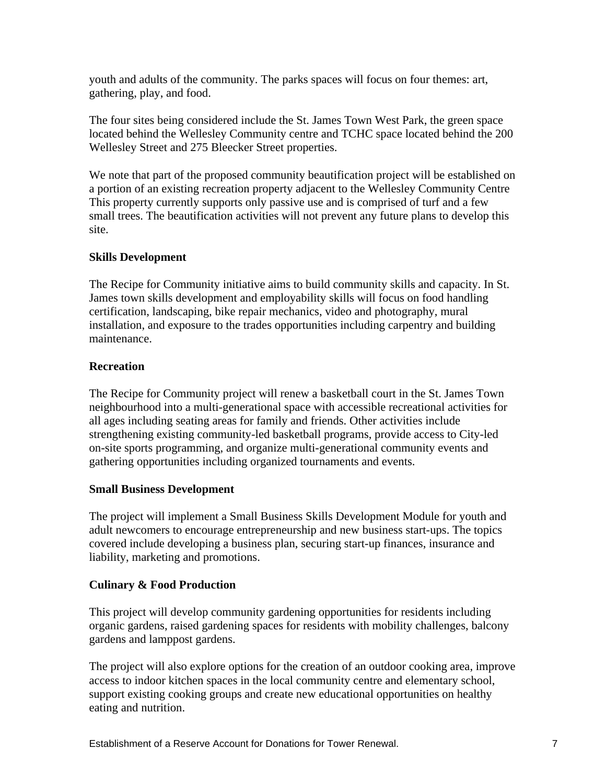youth and adults of the community. The parks spaces will focus on four themes: art, gathering, play, and food.

The four sites being considered include the St. James Town West Park, the green space located behind the Wellesley Community centre and TCHC space located behind the 200 Wellesley Street and 275 Bleecker Street properties.

We note that part of the proposed community beautification project will be established on a portion of an existing recreation property adjacent to the Wellesley Community Centre This property currently supports only passive use and is comprised of turf and a few small trees. The beautification activities will not prevent any future plans to develop this site.

#### **Skills Development**

The Recipe for Community initiative aims to build community skills and capacity. In St. James town skills development and employability skills will focus on food handling certification, landscaping, bike repair mechanics, video and photography, mural installation, and exposure to the trades opportunities including carpentry and building maintenance.

#### **Recreation**

The Recipe for Community project will renew a basketball court in the St. James Town neighbourhood into a multi-generational space with accessible recreational activities for all ages including seating areas for family and friends. Other activities include strengthening existing community-led basketball programs, provide access to City-led on-site sports programming, and organize multi-generational community events and gathering opportunities including organized tournaments and events.

#### **Small Business Development**

The project will implement a Small Business Skills Development Module for youth and adult newcomers to encourage entrepreneurship and new business start-ups. The topics covered include developing a business plan, securing start-up finances, insurance and liability, marketing and promotions.

#### **Culinary & Food Production**

This project will develop community gardening opportunities for residents including organic gardens, raised gardening spaces for residents with mobility challenges, balcony gardens and lamppost gardens.

The project will also explore options for the creation of an outdoor cooking area, improve access to indoor kitchen spaces in the local community centre and elementary school, support existing cooking groups and create new educational opportunities on healthy eating and nutrition.